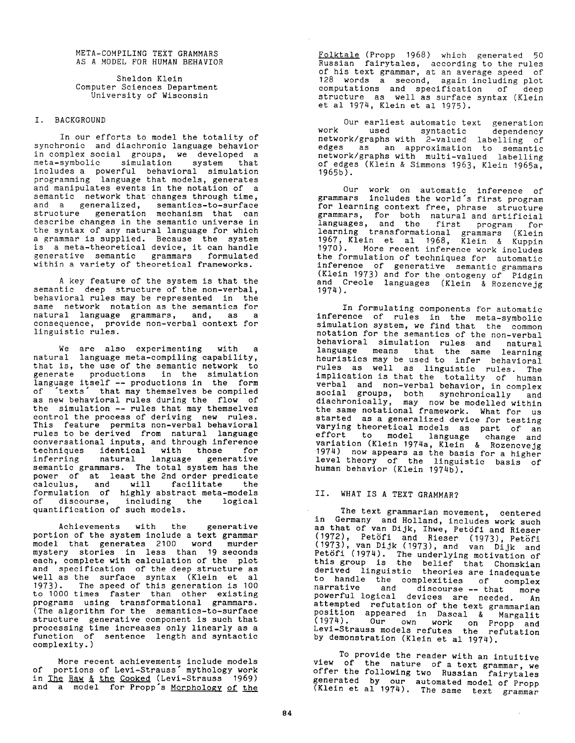META-COMPILING TEXT GRAMMARS AS A MODEL FOR HUMAN BEHAVIOR

Sheldon Klein Computer Sciences Department University of Wisconsin

### I. BACKGROUND

In our efforts to model the totality of synchronic and diachronic language behavior in complex social groups, we developed a meta-symbolic simulation system that includes a powerful behavioral simulation programming language that models, generates and manipulates events in the notation of a semantic network that changes through time, and a generalized, semantics-to-surface structure generation mechanism that can describe changes in the semantic universe in the syntax of any natural language for which a grammar is supplied. Because the system is a meta-theoretical device, it can handle generative semantic grammars formulated within a variety of theoretical frameworks.

A key feature of the system is that the semantic deep structure of the non-verbal, behavioral rules may be represented in the same network notation as the semantics for natural language grammars, and, as a consequence, provide non-verbal context for linguistic rules.

We are also experimenting with a natural language meta-compiling capability, that is, the use of the semantic network to generate productions in the simulation language itself -- productions in the form of "texts" that may themselves be compiled as new behavioral rules during the flow of the simulation -- rules that may themselves control the process of deriving new rules. This feature permits non-verbal behavioral rules to be derived from natural language conversational inputs, and through inference techniques identical with those for inferring natural language generative semantic grammars. The total system has the power of at least the 2nd order predicate calculus, and will facilitate the formulation of highly abstract meta-models of discourse, including the logical quantification of such models.

Achievements with the generative portion of the system include a text grammar model that generates 2100 word murder mystery stories in less than 19 seconds each, complete with calculation of the plot and specification of the deep structure as well as the surface syntax (Klein et al 1973). The speed of this generation is 100 to 1000 times faster than other existing programs using transformational grammars. (The algorithm for the semantics-to-surface structure generative component is such that processing time increases only linearly as a function of sentence length and syntactic complexity.)

More recent achievements include models of portions of Levi-Strauss" mythology work in <u>The Raw & the Cooked</u> (Levi-Strauss 1969) and a model for Propp's <u>Morphology of the</u>

Folktale (Propp 1968) which generated 50 Russian fairytales, according to the rules • of his text grammar, at an average speed of 128 words a second, again including plot computations and specification of deep computations and specification of structure as well as surface syntax (Klein i et al 1974, Klein et al 1975).

Our earliest automatic text generation work used syntactic dependency network/graphs with 2-valued labelling of<br>edges as an approximation to semantic<br>network/graphs with multi-valued labelling of edges (Klein & Simmons 1963, Klein 1965a, 1965b). **<sup>i</sup>**

Our work on automatic inference of I grammars includes the world's first program for learning context free, phrase structure grammars, for both natural and artificial languages, and the first program for learning transformational grammars (Klein 1967, Klein et al 1968, Klein & Kuppin 1970). More recent inference work includes the formulation of techniques for automatic inference of generative semantic grammars (Klein 1973) and for the ontogeny of Pidgin and Creole languages (Klein & Rozencvejg 1974).

In formulating components for automatic inference of rules in the meta-symbolic simulation system, we find that the common notation for the semantics of the non-verbal behavioral simulation rules and natural language means that the same learning heuristics may be used to infer behavioral rules as well as linguistic rules. The implication is that the totality of human<br> **verbal** and non-verbal behavior, in complex social groups, both synchronically and diachronically, may now be modelled within the same notational framework. What for us started as a generalized device for testing started as a general series as part of an<br>varying theoretical models as part of an effort to model language change and variation (Klein 1974a, Klein) & Rozencvejg 1974) now appears as the basis for a higher **m** level theory of the linguistic basis of human behavior (Klein 1974b).

# II. WHAT IS A TEXT GRAMMAR?

The text grammarian movement, centered in Germany and Holland, includes work such as that of van Dijk, Ihwe, Petöfi and Rieser<br>(1972), Petöfi and Rieser (1973), Petöfi (1973), van Dijk (1973), and van Dijk and Petofi (1974). The underlying motivation of this group is the belief that Chomskian derived linguistic theories are inadequate to handle the complexities of complex narrative and discourse -- that more powerful logical devices are needed. An • attempted refutation of the text grammarian position appeared in Dascal & Margalit (1974). Our own work on Propp and Levi-Strauss models refutes) the refutation by demonstration (Klein et al 1974).

To provide the reader with an intuitive view of the nature of a text grammar, we offer the following two Russian fairytales generated by our automated model of Propp (Klein et al 1974). The same text grammar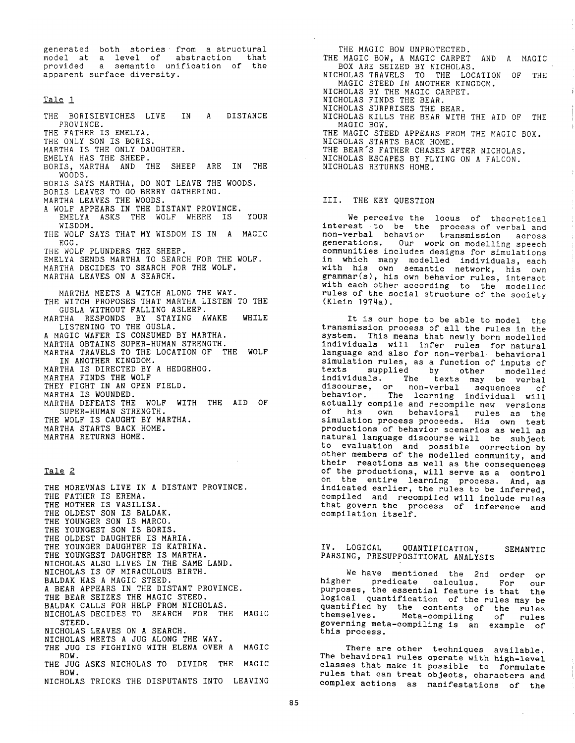generated both stories from a structural model at a level of abstraction that provided a semantic unification of the apparent surface diversity.

## Tale I

THE BORISIEVICHES LIVE IN A DISTANCE PROVINCE. THE FATHER IS EMELYA. THE ONLY SON IS BORIS. MARTHA IS THE ONLY DAUGHTER. EMELYA HAS THE SHEEP. BORIS, MARTHA AND THE SHEEP ARE IN THE WOODS. BORIS SAYS MARTHA, DO NOT LEAVE THE WOODS. BORIS LEAVES TO GO BERRY GATHERING. MARTHA LEAVES THE WOODS. A WOLF APPEARS IN THE DISTANT PROVINCE. EMELYA ASKS THE WOLF WHERE IS YOUR WISDOM. THE WOLF SAYS THAT MY WISDOM IS IN A MAGIC EGG. THE WOLF PLUNDERS THE SHEEP. EMELYA SENDS MARTHA TO SEARCH FOR THE WOLF. MARTHA DECIDES TO SEARCH FOR THE WOLF. MARTHA LEAVES ON A SEARCH. MARTHA MEETS A WITCH ALONG THE WAY. THE WITCH PROPOSES THAT MARTHA LISTEN TO THE GUSLA WITHOUT FALLING ASLEEP. MARTHA RESPONDS BY STAYING AWAKE WHILE LISTENING TO THE GUSLA. A MAGIC WAFER IS CONSUMED BY MARTHA. MARTHA OBTAINS SUPER-HUMAN STRENGTH. MARTHA TRAVELS TO THE LOCATION OF THE WOLF IN ANOTHER KINGDOM. MARTHA IS DIRECTED BY A HEDGEHOG. MARTHA FINDS THE WOLF THEY FIGHT IN AN OPEN FIELD. MARTHA IS WOUNDED. MARTHA DEFEATS THE WOLF WITH THE AID OF SUPER-HUMAN STRENGTH. THE WOLF IS CAUGHT BY MARTHA. MARTHA STARTS BACK HOME.

# Tale 2

MARTHA RETURNS HOME.

THE MOREVNAS LIVE IN A DISTANT PROVINCE. THE FATHER IS EREMA. THE MOTHER IS VASILISA. THE OLDEST SON IS BALDAK. THE YOUNGER SON IS MARCO. THE YOUNGEST SON IS BORIS. THE OLDEST DAUGHTER IS MARIA. THE YOUNGER DAUGHTER IS KATRINA. THE YOUNGEST DAUGHTER IS MARTHA. NICHOLAS ALSO LIVES IN THE SAME LAND. NICHOLAS IS OF MIRACULOUS BIRTH. BALDAK HAS A MAGIC STEED. A BEAR APPEARS IN THE DISTANT PROVINCE. THE BEAR SEIZES THE MAGIC STEED. BALDAK CALLS FOR HELP FROM NICHOLAS. NICHOLAS DECIDES TO SEARCH FOR THE MAGIC STEED. NICHOLAS LEAVES ON A SEARCH. NICHOLAS MEETS A JUG ALONG THE WAY. THE JUG IS FIGHTING WITH ELENA OVER A MAGIC BOW. THE JUG ASKS NICHOLAS TO DIVIDE THE MAGIC BOW. NICHOLAS TRICKS THE DISPUTANTS INTO LEAVING

THE MAGIC BOW UNPROTECTED. THE MAGIC BOW, A MAGIC CARPET AND A MAGIC BOX ARE SEIZED BY NICHOLAS. NICHOLAS TRAVELS TO THE LOCATION OF THE MAGIC STEED IN ANOTHER KINGDOM. NICHOLAS BY THE MAGIC CARPET. NICHOLAS FINDS THE BEAR. NICHOLAS SURPRISES THE BEAR. NICHOLAS KILLS THE BEAR WITH THE AID OF THE MAGIC BOW. THE MAGIC STEED APPEARS FROM THE MAGIC BOX. NICHOLAS STARTS BACK HOME. THE BEAR'S FATHER CHASES AFTER NICHOLAS. NICHOLAS ESCAPES BY FLYING ON A FALCON. NICHOLAS RETURNS HOME.

#### III. THE KEY QUESTION

We perceive the locus of theoretical interest to be the process of verbal and non-verbal behavior transmission across generations. Our work on modelling speech communities includes designs for simulations in which many modelled individuals, each with his own semantic network, his own grammar(s), his own behavior rules, interact with each other according to the modelled rules of the social structure of the society (Klein 1974a).

It is our hope to be able to model the transmission process of all the rules in the system. This means that newly born modelled individuals will infer rules for natural language and also for non-verbal behavioral simulation rules, as a function of inputs of texts supplied by other modelled individuals. The texts may be verbal discourse, or non-verbal sequences of behavior. The learning individual will actually compile and recompile new versions of his own behavioral rules as the simulation process proceeds. His own test productions of behavior scenarios as well as natural language discourse will be subject to evaluation and possible correction by other members of the modelled community, and their reactions as well as the consequences of the productions, will serve as a control on the entire learning process. And, as indicated earlier, the rules to be inferred, compiled and recompiled will include rules that govern the process of inference and compilation itself.

IV. LOGICAL QUANTIFICATION, SEMANTIC PARSING, PRESUPPOSITIONAL ANALYSIS

We have mentioned the 2nd order or higher predicate calculus. For our purposes, the essential feature is that the logical quantification of the rules may be quantified by the contents of the rules themselves. Meta-compiling of rules governing meta-compiling is an example of this process.

There are other techniques available. The behavioral rules operate with high-level classes that make it possible to formulate rules that can treat objects, characters and complex actions as manifestations of the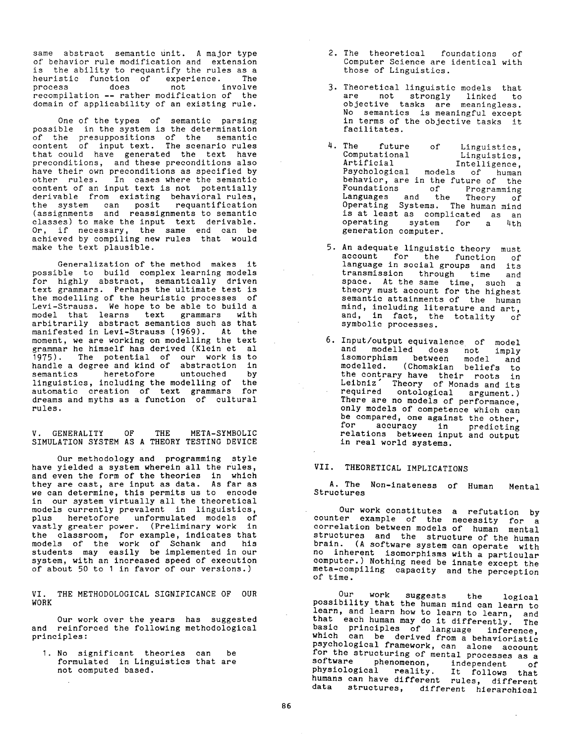same abstract semantic unit. A major type of behavior rule modification and extension is the ability to requantify the rules as a heuristic function of experience. The process does not involve recompilation -- rather modification of the domain of applicability of an existing rule.

One of the types of semantic parsing possible in the system is the determination of the presuppositions of the semantic content of input text. The scenario rules that could have generated the text have preconditions, and these preconditions also have their own preconditions as specified by other rules. In cases where the semantic content of an input text is not potentially derivable from existing behavioral rules, the system can posit requantification (assignments and reassignments to semantic classes) to make the input text derivable. Or, if necessary, the same end can be achieved by compiling new rules that would make the text plausible.

Generalization of the method makes it possible to build complex learning models for highly abstract, semantically driven text grammars. Perhaps the ultimate test is the modelling of the heuristic processes of Levi-Strauss. We hope to be able to build a model that learns text grammars with arbitrarily abstract semantics such as that manifested in Levi-Strauss (1969). At the moment, we are working on modelling the text grammar he himself has derived (Klein et al 1975). The potential of our work is to handle a degree and kind of abstraction in semantics heretofore untouched by linguistics, including the modelling of the automatic creation of text grammars for dreams and myths as a function of cultural rules.

**V.** GENERALITY OF THE META-SYMBOLIC SIMULATION SYSTEM AS A THEORY TESTING DEVICE

Our methodology and programming style have yielded a system wherein all the rules, and even the form of the theories in which they are cast, are input as data. As far as we can determine, this permits us to encode in our system virtually all the theoretical models currently prevalent in linguistics, plus heretofore unformulated models of vastly greater power. (Preliminary work in the classroom, for example, indicates that models of the work of Schank and his students may easily be implemented in our system, with an increased speed of execution of about 50 to I in favor of our versions.)

VI. THE METHODOLOGICAL SIGNIFICANCE OF OUR WORK

Our work over the years has suggested and reinforced the following methodological principles:

I. No significant theories can be formulated in Linguistics that are not computed based.

- 2. The theoretical foundations of Computer Science are identical with those of Linguistics.
- 3. Theoretical linguistic models that are not strongly linked to objective tasks are meaningless. No semantics is meaningful except in terms of the objective tasks it facilitates.
- 4. The future of Linguistics,<br>Computational Linguistics, Computational Linguistics, Artificial Intelligence, Artificial Intelligence,<br>Psychological models of human behavior, are in the future of the Foundations of Programming Languages and the Theory of Operating Systems. The human mind is at least as complicated as an operating system for a 4th generation computer.
- 5. An adequate linguistic theory must account for the function of language in social groups and its transmission through time and space. At the same time, such a theory must account for the highest semantic attainments of the human mind, including literature and art, and, in fact, the totality of symbolic processes.
- 6. Input/output equivalence of model and modelled does not imply isomorphism between model and modelled. (Chomskian beliefs to the contrary have their roots in Leibniz" Theory of Monads and its required ontological argument.) There are no models of performance, only models of competence which can be compared, one against the other, for accuracy in predicting relations between input and output in real world systems.

# VII. THEORETICAL IMPLICATIONS

A. The Non-inateness of Human Mental Structures

Our work constitutes a refutation by counter example of the necessity for a correlation between models of human mental structures and the structure of the human brain. (A software system can operate with no inherent isomorphisms with a particular computer.) Nothing need be innate except the meta-compiling capacity and the perception of time.

Our work suggests the logical possibility that the human mind can learn to learn, and learn how to learn to learn, and that each human may do it differently. The basic principles of language inference, which can be derived from a behavioristic psychological framework, can alone account for the structuring of mental processes as a software phenomenon, independent of physiological reality. It follows that humans can have different rules, different data structures, different hierarchical

 $\sim$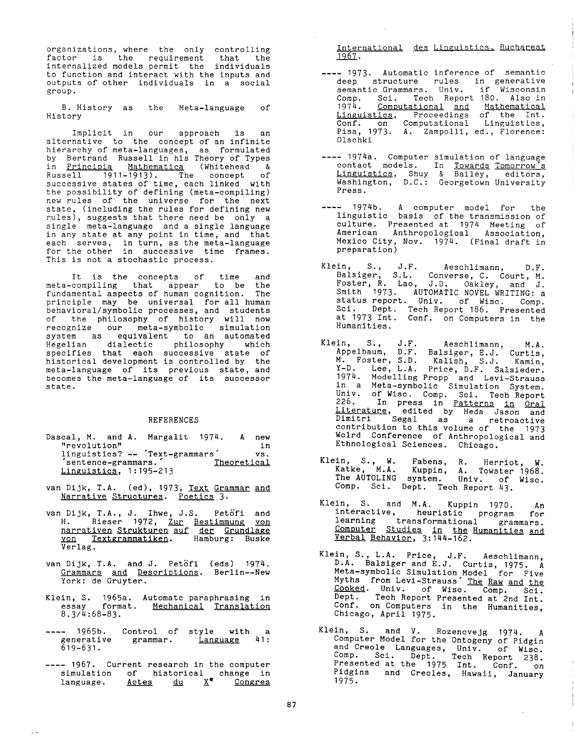organizations, where the only controlling factor is the requirement that the internalized models permit the individuals to function and interact with the inputs and outputs of other individuals in a social group.

B. History as the Meta-language of History

Implicit in our approach is an alternative to the concept of an infinite hierarchy of meta-languages, as formulated by Bertrand Russell in his Theory of Types in Principia Mathematica (Whitehead & Russell 1911-1913). The concept of successive states of time, each linked with the possibility of defining (meta-compiling) new rules of the universe for the next state, (including the rules for defining new rules), suggests that there need be only a single meta-language and a single language in any state at any point in time, and that each serves, in turn, as the meta-language for the other in successive time frames. This is not a stochastic process.

It is the concepts of time and meta-compiling that appear to be the fundamental aspects of human cognition. The principle may be universal for all human behavioral/symbolic processes, and students of the philosophy of history will now recognize our meta-symbolic simulation system as equivalent to an automated Hegelian dialectic philosophy which specifies that each successive state of historical development is controlled by the meta-language of its previous state, and becomes the meta-language of its successor state.

### **REFERENCES**

- Dascal, M. and A. Margalit 1974. A new "revolution" in "revolution" in linguistics? -- "Text-grammars" vs. sentence-grammars. Theoretical Linguistics, 1:195-213
- van Dijk, T.A. (ed), 1973, Text Grammar and Narrative Structures. Poetics 3.
- van Dijk, T.A., J. Ihwe, J.S. Petofi and H. Rieser 1972, <u>Zur Bestimmung von</u> narrativen Strukturen auf der Grundlage <u>von Textgrammatiken</u>. Hamburg: Buske Verlag.
- van Dijk, T.A. and J. Petöfi (eds) 1974. Grammars and Descriptions. Berlin--New York: de Gruyter.
- Klein, S. 1965a. Automatc paraphrasing in essay format. <u>Mechanical</u> <u>Translation</u> 8.3/4:68-83.
- .... 1965b. Control of style with a generative grammar. Language 41: 619-631.
- 1967. Current research in the computer simulation of historical change in language. <u>Actes du X</u> Congres

International des Linguistics. Bucharest 1967.

- .... 1973. Automatic inference of semantic deep structure rules in generative semantic Grammars. Univ. if Wisconsin Comp. Sci. Tech Report 180. Also in 1974. Computational and Mathematical <u>Linguistics</u>, Proceedings of the Int. Conf. on Computational Linguistics, Pisa, 1973. A. Zampolli, ed., Florence: Olschki
- .... 1974a. Computer simulation of language contact models. In Towards Tomorrow's Linguistics, Shuy & Bailey, editors, Washington, D.C.: Georgetown University Press.
- .... 1974b. A computer model for the linguistic basis of the transmission of culture. Presented at 1974 Meeting of American Anthropological Association, Mexico City, Nov. 1974. (Final draft in preparation)
- Klein, S., J.F. Aeschlimann, D.F. Balsiger, S.L. Converse, C. Court, M. Foster, R. Lao, J.D. Oakley, and J. Smith 1973. AUTOMATIC NOVEL WRITING: a status report. Univ. of Wisc. Comp. Sci. Dept. Tech Report 186. Presented at 1973 Int. Conf. on Computers in the Humanities.
- Klein, S., J.F. Aeschlimann, M.A. Appelbaum, D.F. Balsiger, E.J. Curtis, M. Foster, S.D. Kalish, S.J. Kamin, Y-D. Lee, L.A. Price, D.F. Salsieder. 1974. Modelling Propp and Levi-Strauss in a Meta-symbolic Simulation System. Univ. of Wisc. Comp. Sci. Tech Report 226. In press in Patterns in Oral Literature, edited by Heda Jason and Dimitri Segal as a retroactive contribution to this volume of the 1973 Wolrd Conference of Anthropological and Ethnological Sciences. Chicago.
- Klein, S., W. Fabens, R. Herriot, W. Katke, M.A. Kuppin, A. Towster 1968. The AUTOLING system. Univ. of Wisc. Comp. Sci. Dept. Tech Report 43.
- Klein, S. and M.A. Kuppin 1970. An interactive, heuristic program for learning transformational grammars. Computer Studies in the Humanities and <u>verbal Behavior</u>, 3:144-162.
- Klein, S., L.A. Price, J.F. Aeschlimann, D.A. Balsiger and E.J. Curtis, 1975. A Meta-symbolic Simulation Model for Five Myths from Levi-Strauss" The Raw and the Cooked. Univ. of Wisc. Comp. Sci. Dept. Tech Report Presented at 2nd Int. Conf. on Computers in the Humanities, Chicago, April 1975.
- Klein, S. and V. Rozencvejg 1974. A Computer Model for the Ontogeny of Pidgin and Creole Languages, Univ. of Wisc. Comp. Sci. Dept. Tech Report 238. Presented at the 1975 Int. Conf. on Pidgins and Creoles, Hawaii, January 1975.